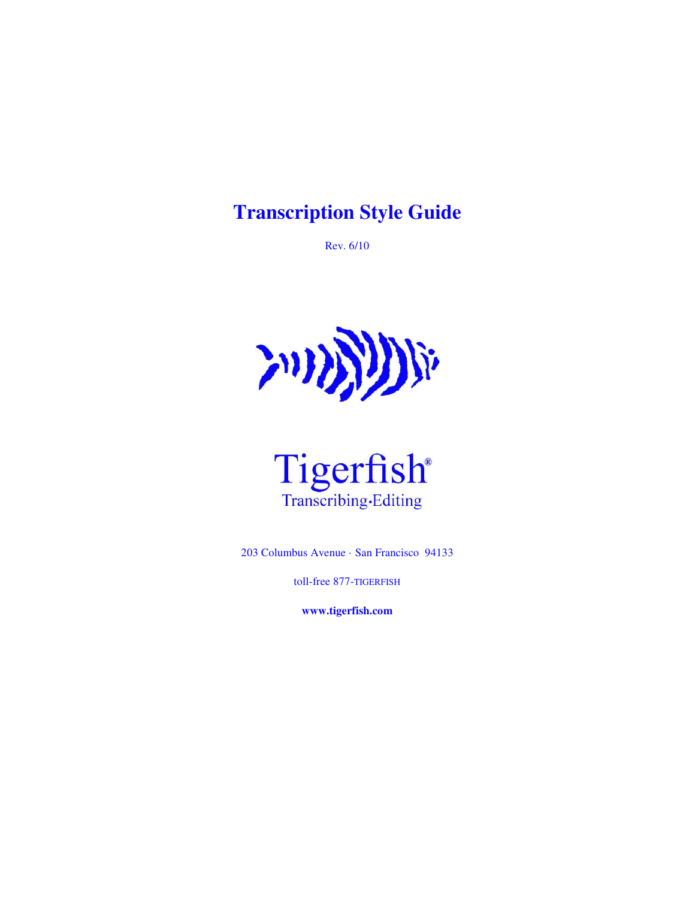# **Transcription Style Guide**

Rev. 6/10





203 Columbus Avenue · San Francisco 94133

toll-free 877-TIGERFISH

**www.tigerfish.com**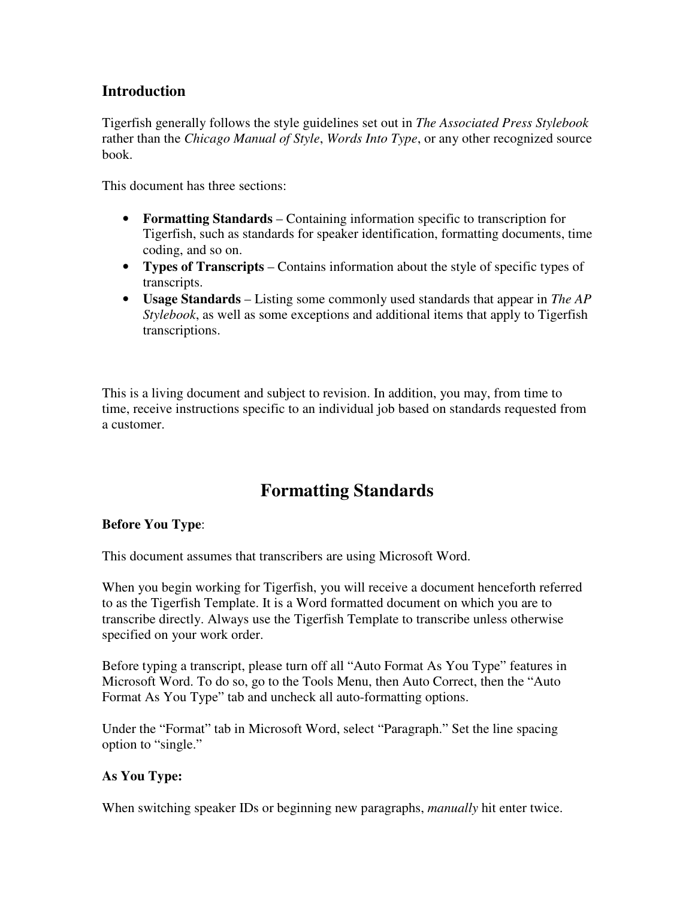# **Introduction**

Tigerfish generally follows the style guidelines set out in *The Associated Press Stylebook* rather than the *Chicago Manual of Style*, *Words Into Type*, or any other recognized source book.

This document has three sections:

- **Formatting Standards** Containing information specific to transcription for Tigerfish, such as standards for speaker identification, formatting documents, time coding, and so on.
- **Types of Transcripts** Contains information about the style of specific types of transcripts.
- **Usage Standards** Listing some commonly used standards that appear in *The AP Stylebook*, as well as some exceptions and additional items that apply to Tigerfish transcriptions.

This is a living document and subject to revision. In addition, you may, from time to time, receive instructions specific to an individual job based on standards requested from a customer.

# **Formatting Standards**

# **Before You Type**:

This document assumes that transcribers are using Microsoft Word.

When you begin working for Tigerfish, you will receive a document henceforth referred to as the Tigerfish Template. It is a Word formatted document on which you are to transcribe directly. Always use the Tigerfish Template to transcribe unless otherwise specified on your work order.

Before typing a transcript, please turn off all "Auto Format As You Type" features in Microsoft Word. To do so, go to the Tools Menu, then Auto Correct, then the "Auto Format As You Type" tab and uncheck all auto-formatting options.

Under the "Format" tab in Microsoft Word, select "Paragraph." Set the line spacing option to "single."

# **As You Type:**

When switching speaker IDs or beginning new paragraphs, *manually* hit enter twice.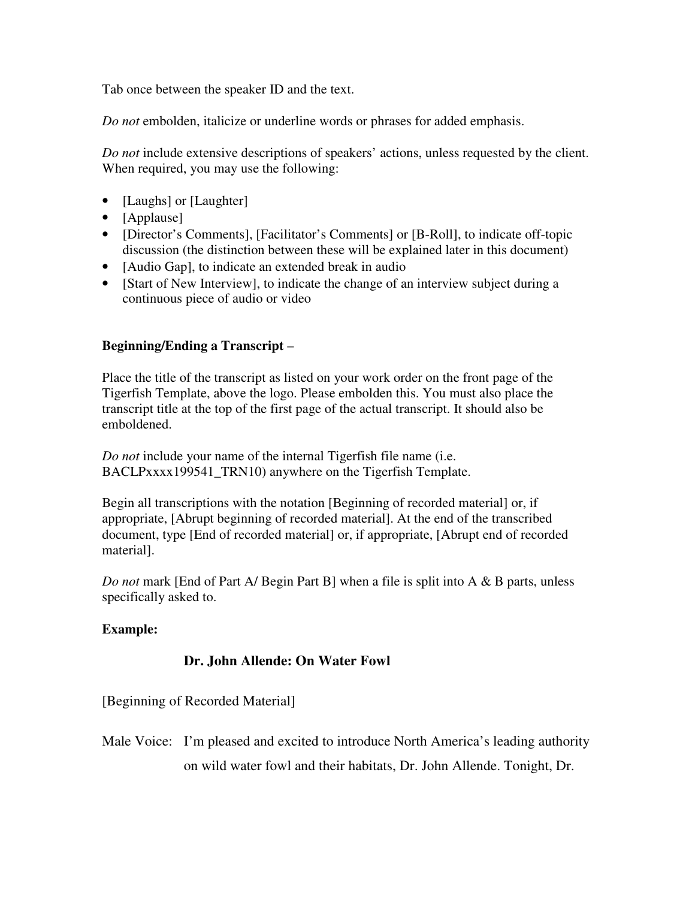Tab once between the speaker ID and the text.

*Do not* embolden, italicize or underline words or phrases for added emphasis.

*Do not* include extensive descriptions of speakers' actions, unless requested by the client. When required, you may use the following:

- [Laughs] or [Laughter]
- [Applause]
- [Director's Comments], [Facilitator's Comments] or [B-Roll], to indicate off-topic discussion (the distinction between these will be explained later in this document)
- [Audio Gap], to indicate an extended break in audio
- [Start of New Interview], to indicate the change of an interview subject during a continuous piece of audio or video

# **Beginning/Ending a Transcript** –

Place the title of the transcript as listed on your work order on the front page of the Tigerfish Template, above the logo. Please embolden this. You must also place the transcript title at the top of the first page of the actual transcript. It should also be emboldened.

*Do not* include your name of the internal Tigerfish file name (i.e. BACLPxxxx199541\_TRN10) anywhere on the Tigerfish Template.

Begin all transcriptions with the notation [Beginning of recorded material] or, if appropriate, [Abrupt beginning of recorded material]. At the end of the transcribed document, type [End of recorded material] or, if appropriate, [Abrupt end of recorded material].

*Do not* mark [End of Part A/ Begin Part B] when a file is split into A & B parts, unless specifically asked to.

# **Example:**

# **Dr. John Allende: On Water Fowl**

[Beginning of Recorded Material]

Male Voice: I'm pleased and excited to introduce North America's leading authority on wild water fowl and their habitats, Dr. John Allende. Tonight, Dr.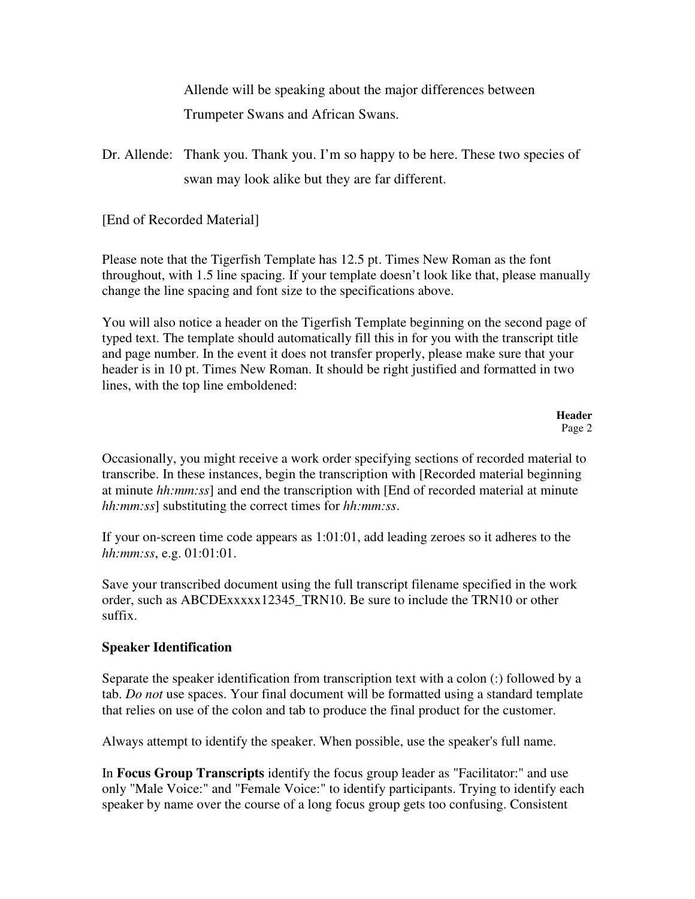Allende will be speaking about the major differences between Trumpeter Swans and African Swans.

Dr. Allende: Thank you. Thank you. I'm so happy to be here. These two species of swan may look alike but they are far different.

[End of Recorded Material]

Please note that the Tigerfish Template has 12.5 pt. Times New Roman as the font throughout, with 1.5 line spacing. If your template doesn't look like that, please manually change the line spacing and font size to the specifications above.

You will also notice a header on the Tigerfish Template beginning on the second page of typed text. The template should automatically fill this in for you with the transcript title and page number. In the event it does not transfer properly, please make sure that your header is in 10 pt. Times New Roman. It should be right justified and formatted in two lines, with the top line emboldened:

> **Header** Page 2

Occasionally, you might receive a work order specifying sections of recorded material to transcribe. In these instances, begin the transcription with [Recorded material beginning at minute *hh:mm:ss*] and end the transcription with [End of recorded material at minute *hh:mm:ss*] substituting the correct times for *hh:mm:ss*.

If your on-screen time code appears as 1:01:01, add leading zeroes so it adheres to the *hh:mm:ss*, e.g. 01:01:01.

Save your transcribed document using the full transcript filename specified in the work order, such as ABCDExxxxx12345\_TRN10. Be sure to include the TRN10 or other suffix.

#### **Speaker Identification**

Separate the speaker identification from transcription text with a colon (:) followed by a tab. *Do not* use spaces. Your final document will be formatted using a standard template that relies on use of the colon and tab to produce the final product for the customer.

Always attempt to identify the speaker. When possible, use the speaker's full name.

In **Focus Group Transcripts** identify the focus group leader as "Facilitator:" and use only "Male Voice:" and "Female Voice:" to identify participants. Trying to identify each speaker by name over the course of a long focus group gets too confusing. Consistent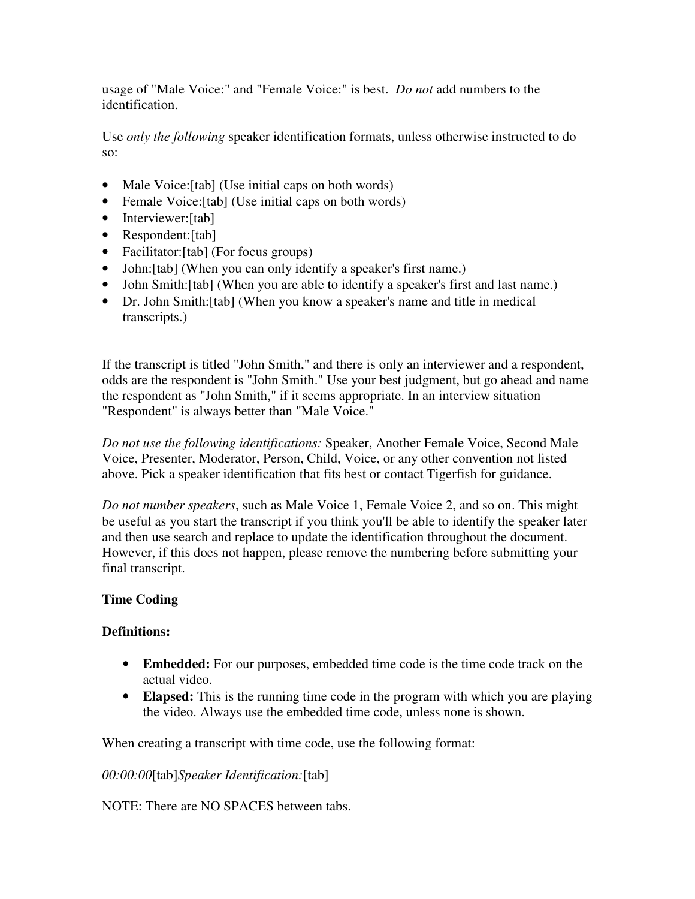usage of "Male Voice:" and "Female Voice:" is best. *Do not* add numbers to the identification.

Use *only the following* speaker identification formats, unless otherwise instructed to do so:

- Male Voice: [tab] (Use initial caps on both words)
- Female Voice: [tab] (Use initial caps on both words)
- Interviewer: [tab]
- Respondent: [tab]
- Facilitator: [tab] (For focus groups)
- John: [tab] (When you can only identify a speaker's first name.)
- John Smith: [tab] (When you are able to identify a speaker's first and last name.)
- Dr. John Smith: [tab] (When you know a speaker's name and title in medical transcripts.)

If the transcript is titled "John Smith," and there is only an interviewer and a respondent, odds are the respondent is "John Smith." Use your best judgment, but go ahead and name the respondent as "John Smith," if it seems appropriate. In an interview situation "Respondent" is always better than "Male Voice."

*Do not use the following identifications:* Speaker, Another Female Voice, Second Male Voice, Presenter, Moderator, Person, Child, Voice, or any other convention not listed above. Pick a speaker identification that fits best or contact Tigerfish for guidance.

*Do not number speakers*, such as Male Voice 1, Female Voice 2, and so on. This might be useful as you start the transcript if you think you'll be able to identify the speaker later and then use search and replace to update the identification throughout the document. However, if this does not happen, please remove the numbering before submitting your final transcript.

# **Time Coding**

# **Definitions:**

- **Embedded:** For our purposes, embedded time code is the time code track on the actual video.
- **Elapsed:** This is the running time code in the program with which you are playing the video. Always use the embedded time code, unless none is shown.

When creating a transcript with time code, use the following format:

*00:00:00*[tab]*Speaker Identification:*[tab]

NOTE: There are NO SPACES between tabs.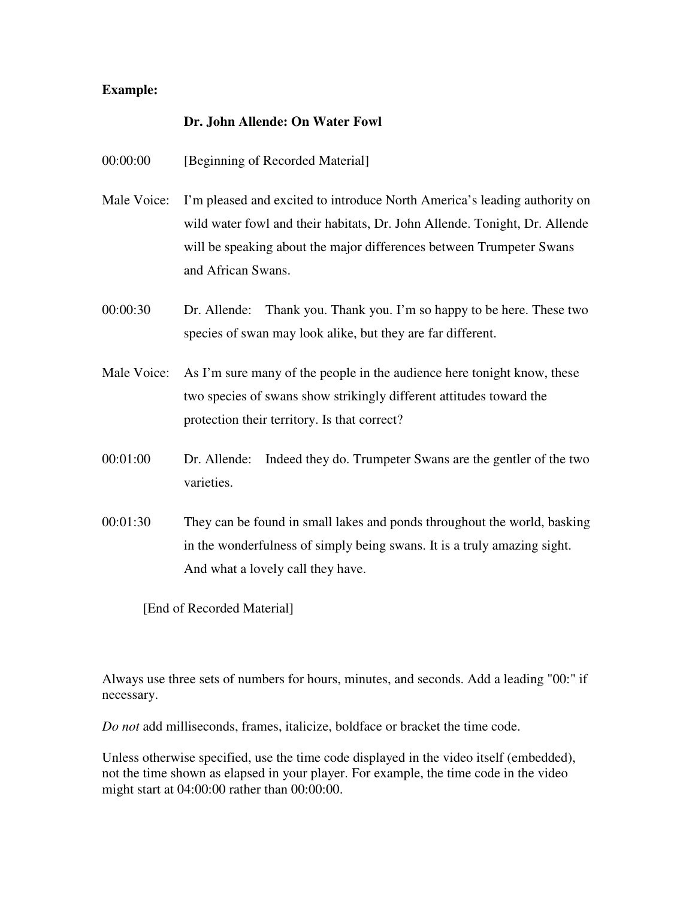#### **Example:**

#### **Dr. John Allende: On Water Fowl**

- 00:00:00 [Beginning of Recorded Material]
- Male Voice: I'm pleased and excited to introduce North America's leading authority on wild water fowl and their habitats, Dr. John Allende. Tonight, Dr. Allende will be speaking about the major differences between Trumpeter Swans and African Swans.
- 00:00:30 Dr. Allende: Thank you. Thank you. I'm so happy to be here. These two species of swan may look alike, but they are far different.
- Male Voice: As I'm sure many of the people in the audience here tonight know, these two species of swans show strikingly different attitudes toward the protection their territory. Is that correct?
- 00:01:00 Dr. Allende: Indeed they do. Trumpeter Swans are the gentler of the two varieties.
- 00:01:30 They can be found in small lakes and ponds throughout the world, basking in the wonderfulness of simply being swans. It is a truly amazing sight. And what a lovely call they have.

[End of Recorded Material]

Always use three sets of numbers for hours, minutes, and seconds. Add a leading "00:" if necessary.

*Do not* add milliseconds, frames, italicize, boldface or bracket the time code.

Unless otherwise specified, use the time code displayed in the video itself (embedded), not the time shown as elapsed in your player. For example, the time code in the video might start at 04:00:00 rather than 00:00:00.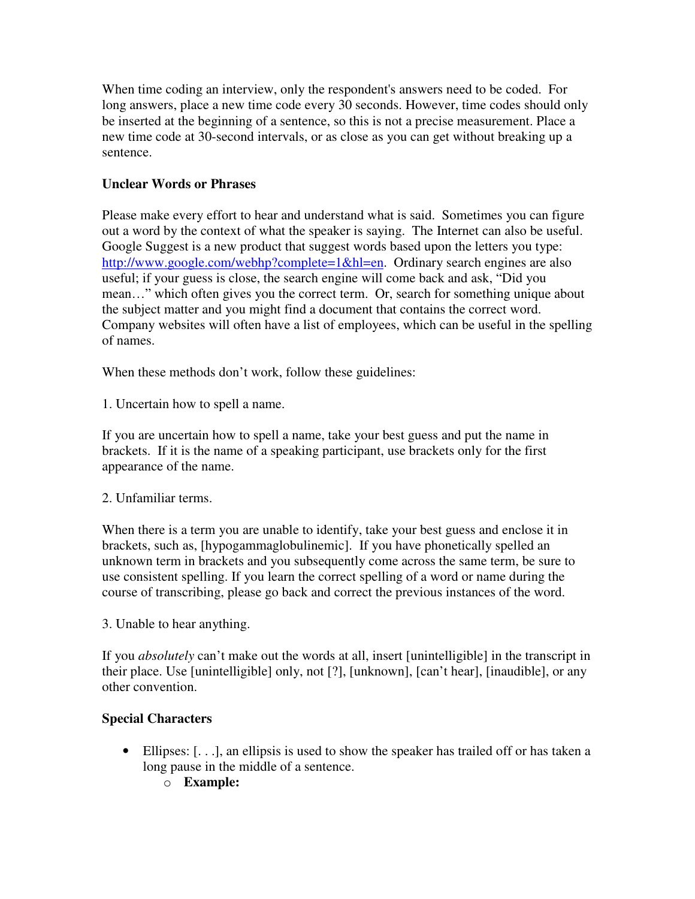When time coding an interview, only the respondent's answers need to be coded. For long answers, place a new time code every 30 seconds. However, time codes should only be inserted at the beginning of a sentence, so this is not a precise measurement. Place a new time code at 30-second intervals, or as close as you can get without breaking up a sentence.

# **Unclear Words or Phrases**

Please make every effort to hear and understand what is said. Sometimes you can figure out a word by the context of what the speaker is saying. The Internet can also be useful. Google Suggest is a new product that suggest words based upon the letters you type: http://www.google.com/webhp?complete=1&hl=en. Ordinary search engines are also useful; if your guess is close, the search engine will come back and ask, "Did you mean…" which often gives you the correct term. Or, search for something unique about the subject matter and you might find a document that contains the correct word. Company websites will often have a list of employees, which can be useful in the spelling of names.

When these methods don't work, follow these guidelines:

1. Uncertain how to spell a name.

If you are uncertain how to spell a name, take your best guess and put the name in brackets. If it is the name of a speaking participant, use brackets only for the first appearance of the name.

2. Unfamiliar terms.

When there is a term you are unable to identify, take your best guess and enclose it in brackets, such as, [hypogammaglobulinemic]. If you have phonetically spelled an unknown term in brackets and you subsequently come across the same term, be sure to use consistent spelling. If you learn the correct spelling of a word or name during the course of transcribing, please go back and correct the previous instances of the word.

3. Unable to hear anything.

If you *absolutely* can't make out the words at all, insert [unintelligible] in the transcript in their place. Use [unintelligible] only, not [?], [unknown], [can't hear], [inaudible], or any other convention.

# **Special Characters**

- Ellipses: [...], an ellipsis is used to show the speaker has trailed off or has taken a long pause in the middle of a sentence.
	- o **Example:**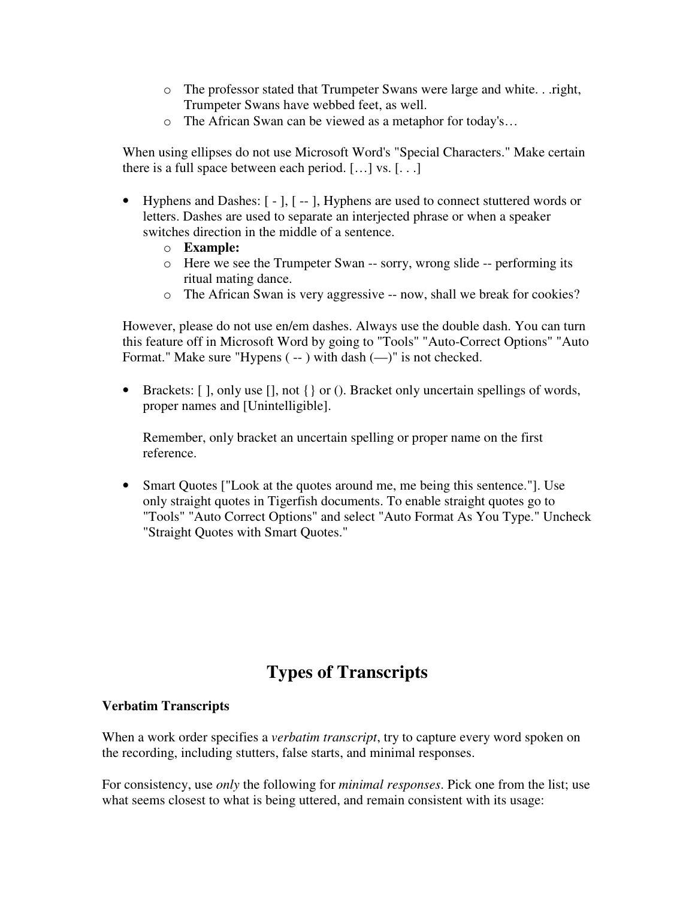- o The professor stated that Trumpeter Swans were large and white. . .right, Trumpeter Swans have webbed feet, as well.
- o The African Swan can be viewed as a metaphor for today's…

When using ellipses do not use Microsoft Word's "Special Characters." Make certain there is a full space between each period.  $[...]$  vs.  $[...]$ 

- Hyphens and Dashes: [ ], [ -- ], Hyphens are used to connect stuttered words or letters. Dashes are used to separate an interjected phrase or when a speaker switches direction in the middle of a sentence.
	- o **Example:**
	- o Here we see the Trumpeter Swan -- sorry, wrong slide -- performing its ritual mating dance.
	- o The African Swan is very aggressive -- now, shall we break for cookies?

However, please do not use en/em dashes. Always use the double dash. You can turn this feature off in Microsoft Word by going to "Tools" "Auto-Correct Options" "Auto Format." Make sure "Hypens (--) with dash (-)" is not checked.

• Brackets: [], only use [], not {} or (). Bracket only uncertain spellings of words, proper names and [Unintelligible].

Remember, only bracket an uncertain spelling or proper name on the first reference.

• Smart Quotes ["Look at the quotes around me, me being this sentence."]. Use only straight quotes in Tigerfish documents. To enable straight quotes go to "Tools" "Auto Correct Options" and select "Auto Format As You Type." Uncheck "Straight Quotes with Smart Quotes."

# **Types of Transcripts**

#### **Verbatim Transcripts**

When a work order specifies a *verbatim transcript*, try to capture every word spoken on the recording, including stutters, false starts, and minimal responses.

For consistency, use *only* the following for *minimal responses*. Pick one from the list; use what seems closest to what is being uttered, and remain consistent with its usage: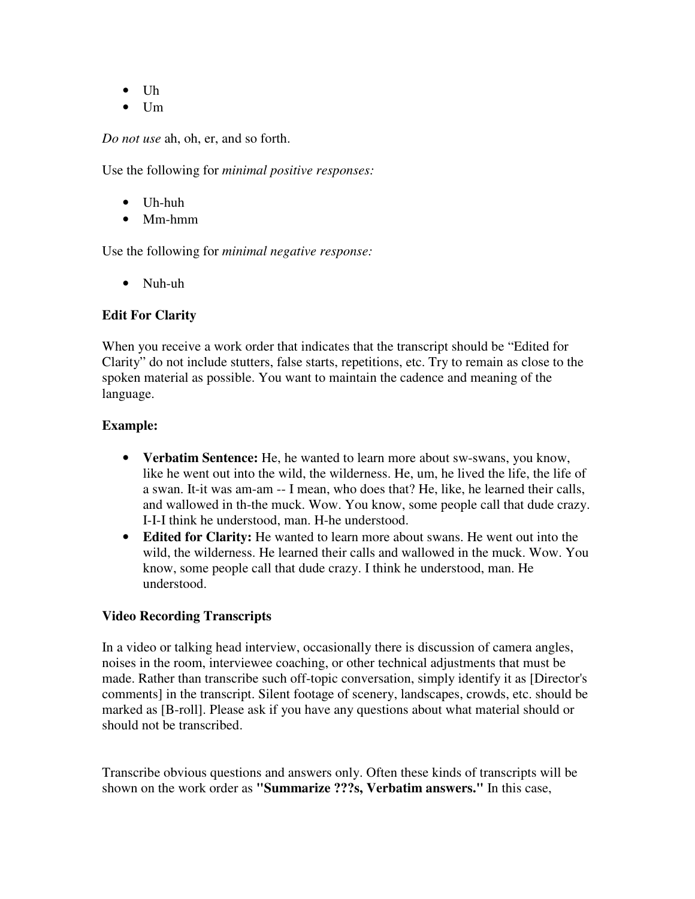- Uh
- Um

*Do not use* ah, oh, er, and so forth.

Use the following for *minimal positive responses:* 

- Uh-huh
- Mm-hmm

Use the following for *minimal negative response:* 

• Nuh-uh

# **Edit For Clarity**

When you receive a work order that indicates that the transcript should be "Edited for Clarity" do not include stutters, false starts, repetitions, etc. Try to remain as close to the spoken material as possible. You want to maintain the cadence and meaning of the language.

# **Example:**

- **Verbatim Sentence:** He, he wanted to learn more about sw-swans, you know, like he went out into the wild, the wilderness. He, um, he lived the life, the life of a swan. It-it was am-am -- I mean, who does that? He, like, he learned their calls, and wallowed in th-the muck. Wow. You know, some people call that dude crazy. I-I-I think he understood, man. H-he understood.
- **Edited for Clarity:** He wanted to learn more about swans. He went out into the wild, the wilderness. He learned their calls and wallowed in the muck. Wow. You know, some people call that dude crazy. I think he understood, man. He understood.

# **Video Recording Transcripts**

In a video or talking head interview, occasionally there is discussion of camera angles, noises in the room, interviewee coaching, or other technical adjustments that must be made. Rather than transcribe such off-topic conversation, simply identify it as [Director's comments] in the transcript. Silent footage of scenery, landscapes, crowds, etc. should be marked as [B-roll]. Please ask if you have any questions about what material should or should not be transcribed.

Transcribe obvious questions and answers only. Often these kinds of transcripts will be shown on the work order as **"Summarize ???s, Verbatim answers."** In this case,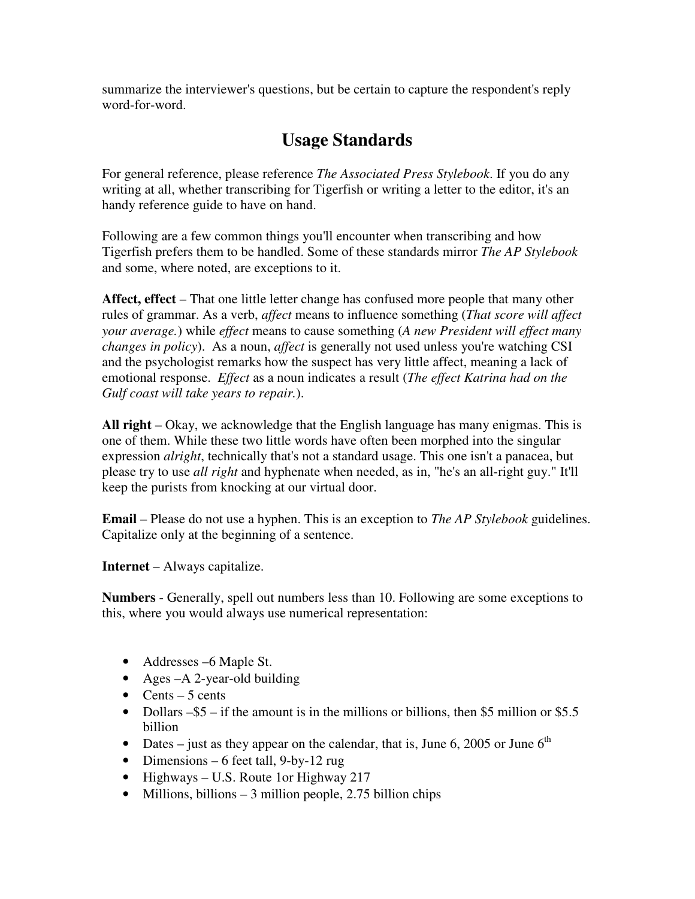summarize the interviewer's questions, but be certain to capture the respondent's reply word-for-word.

# **Usage Standards**

For general reference, please reference *The Associated Press Stylebook*. If you do any writing at all, whether transcribing for Tigerfish or writing a letter to the editor, it's an handy reference guide to have on hand.

Following are a few common things you'll encounter when transcribing and how Tigerfish prefers them to be handled. Some of these standards mirror *The AP Stylebook* and some, where noted, are exceptions to it.

**Affect, effect** – That one little letter change has confused more people that many other rules of grammar. As a verb, *affect* means to influence something (*That score will affect your average.*) while *effect* means to cause something (*A new President will effect many changes in policy*). As a noun, *affect* is generally not used unless you're watching CSI and the psychologist remarks how the suspect has very little affect, meaning a lack of emotional response. *Effect* as a noun indicates a result (*The effect Katrina had on the Gulf coast will take years to repair.*).

**All right** – Okay, we acknowledge that the English language has many enigmas. This is one of them. While these two little words have often been morphed into the singular expression *alright*, technically that's not a standard usage. This one isn't a panacea, but please try to use *all right* and hyphenate when needed, as in, "he's an all-right guy." It'll keep the purists from knocking at our virtual door.

**Email** – Please do not use a hyphen. This is an exception to *The AP Stylebook* guidelines. Capitalize only at the beginning of a sentence.

**Internet** – Always capitalize.

**Numbers** - Generally, spell out numbers less than 10. Following are some exceptions to this, where you would always use numerical representation:

- Addresses –6 Maple St.
- Ages A 2-year-old building
- Cents  $-5$  cents
- Dollars \$5 if the amount is in the millions or billions, then \$5 million or \$5.5 billion
- Dates just as they appear on the calendar, that is, June 6, 2005 or June  $6<sup>th</sup>$
- Dimensions 6 feet tall, 9-by-12 rug
- Highways U.S. Route 1 or Highway 217
- Millions, billions 3 million people, 2.75 billion chips